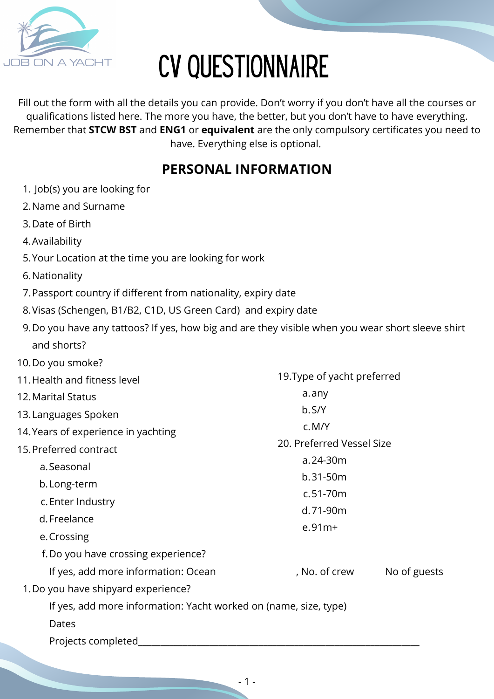

# CV QUESTIONNAIRE

Fill out the form with all the details you can provide. Don't worry if you don't have all the courses or qualifications listed here. The more you have, the better, but you don't have to have everything. Remember that **STCW BST** and **ENG1** or **equivalent** are the only compulsory certificates you need to have. Everything else is optional.

### **PERSONAL INFORMATION**

- Job(s) you are looking for 1.
- 2.Name and Surname
- 3.Date of Birth
- Availability 4.
- 5. Your Location at the time you are looking for work
- 6. Nationality
- Passport country if different from nationality, expiry date 7.
- 8. Visas (Schengen, B1/B2, C1D, US Green Card) and expiry date
- Do you have any tattoos? If yes, how big and are they visible when you wear short sleeve shirt 9. and shorts?
- 10. Do you smoke? 11. Health and fitness level Marital Status 12. 13. Languages Spoken 14. Years of experience in yachting 15. Preferred contract a.Seasonal b. Long-term c. Enter Industry d.Freelance e. Crossing f. Do you have crossing experience? 1. Do you have shipyard experience? If yes, add more information: Ocean (i.e., No. of crew No of guests) If yes, add more information: Yacht worked on (name, size, type) Dates Projects completed\_ a.any b.S/Y M/Y c. 24-30m a. 31-50m b. 51-70m c. 71-90m d. 91m+ e.19.Type of yacht preferred 20. Preferred Vessel Size
	- 1 -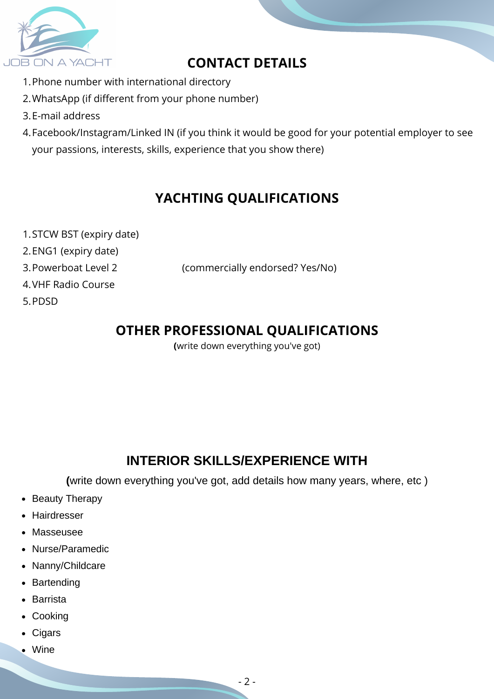

## **CONTACT DETAILS**

- 1.Phone number with international directory
- WhatsApp (if different from your phone number) 2.
- E-mail address 3.
- Facebook/Instagram/Linked IN (if you think it would be good for your potential employer to see 4. your passions, interests, skills, experience that you show there)

## **YACHTING QUALIFICATIONS**

- 1.STCW BST (expiry date)
- 2.ENG1 (expiry date)
- 3. Powerboat Level 2

(commercially endorsed? Yes/No)

- 4.VHF Radio Course
- 5.PDSD

## **OTHER PROFESSIONAL QUALIFICATIONS**

**(**write down everything you've got)

## **INTERIOR SKILLS/EXPERIENCE WITH**

**(**write down everything you've got, add details how many years, where, etc )

- Beauty Therapy
- Hairdresser
- Masseusee
- Nurse/Paramedic
- Nanny/Childcare
- Bartending
- Barrista
- Cooking
- Cigars
- Wine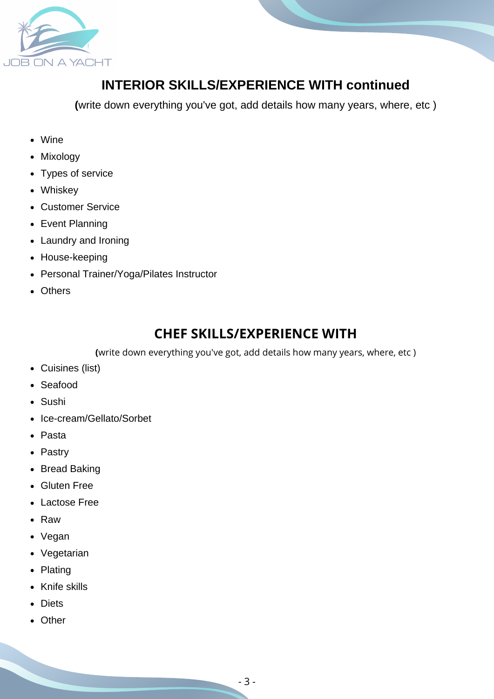

#### **INTERIOR SKILLS/EXPERIENCE WITH continued**

**(**write down everything you've got, add details how many years, where, etc )

- Wine
- Mixology
- Types of service
- Whiskey
- Customer Service
- Event Planning
- Laundry and Ironing
- House-keeping
- Personal Trainer/Yoga/Pilates Instructor
- Others

#### **CHEF SKILLS/EXPERIENCE WITH**

**(**write down everything you've got, add details how many years, where, etc )

- Cuisines (list)
- Seafood
- Sushi
- Ice-cream/Gellato/Sorbet
- Pasta
- Pastry
- Bread Baking
- Gluten Free
- Lactose Free
- Raw
- Vegan
- Vegetarian
- Plating
- Knife skills
- Diets
- Other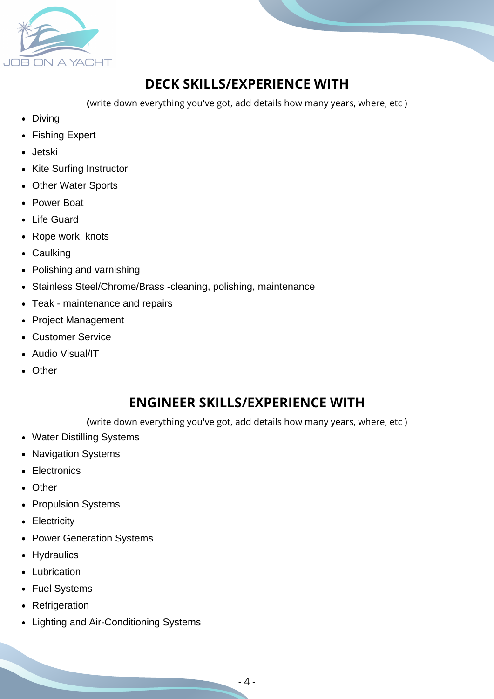

## **DECK SKILLS/EXPERIENCE WITH**

**(**write down everything you've got, add details how many years, where, etc )

- Diving
- Fishing Expert
- Jetski
- Kite Surfing Instructor
- Other Water Sports
- Power Boat
- Life Guard
- Rope work, knots
- Caulking
- Polishing and varnishing
- Stainless Steel/Chrome/Brass -cleaning, polishing, maintenance
- Teak maintenance and repairs
- Project Management
- Customer Service
- Audio Visual/IT
- Other

## **ENGINEER SKILLS/EXPERIENCE WITH**

**(**write down everything you've got, add details how many years, where, etc )

- Water Distilling Systems
- Navigation Systems
- Electronics
- Other
- Propulsion Systems
- Electricity
- Power Generation Systems
- Hydraulics
- Lubrication
- Fuel Systems
- Refrigeration
- Lighting and Air-Conditioning Systems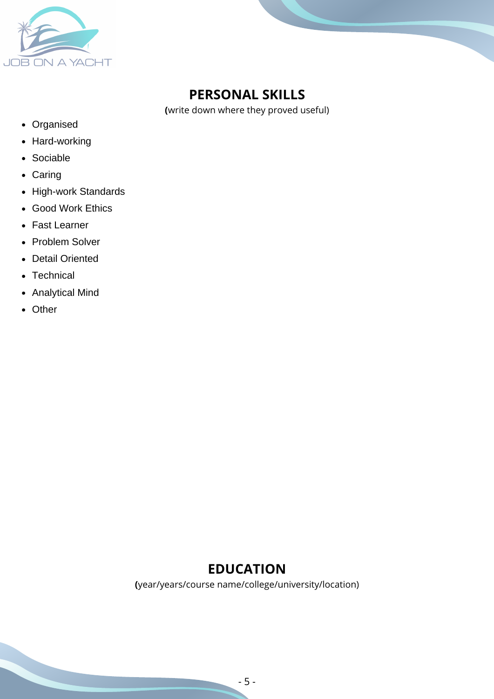

## **PERSONAL SKILLS**

**(**write down where they proved useful)

- Organised
- Hard-working
- Sociable
- Caring
- High-work Standards
- Good Work Ethics
- Fast Learner
- Problem Solver
- Detail Oriented
- Technical
- Analytical Mind
- Other

#### **EDUCATION**

**(**year/years/course name/college/university/location)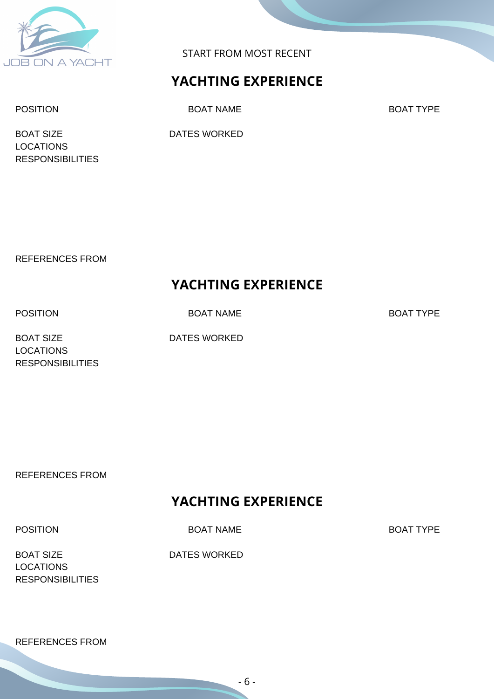

START FROM MOST RECENT

#### **YACHTING EXPERIENCE**

POSITION BOAT NAME BOAT NOT BOAT TYPE

BOAT SIZE DATES WORKED LOCATIONS RESPONSIBILITIES

REFERENCES FROM

#### **YACHTING EXPERIENCE**

POSITION BOAT NAME BOAT TYPE

BOAT SIZE DATES WORKED LOCATIONS RESPONSIBILITIES

REFERENCES FROM

#### **YACHTING EXPERIENCE**

POSITION BOAT NAME BOAT NOT BOAT TYPE

BOAT SIZE DATES WORKED **LOCATIONS RESPONSIBILITIES** 

REFERENCES FROM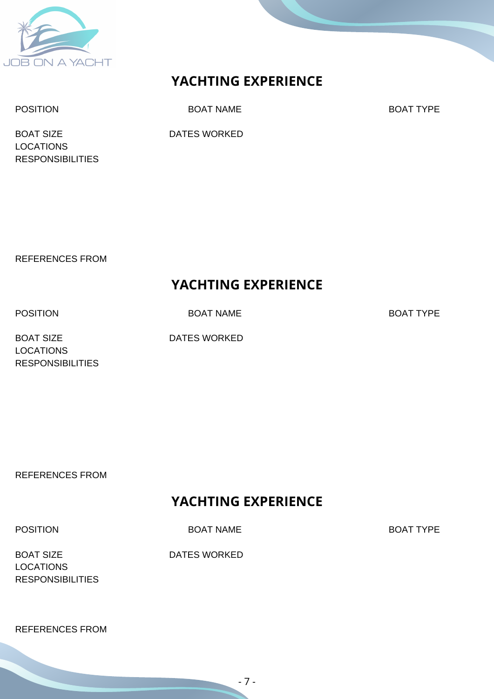

#### **YACHTING EXPERIENCE**

POSITION BOAT NAME BOAT NOT BOAT TYPE

BOAT SIZE DATES WORKED LOCATIONS RESPONSIBILITIES

REFERENCES FROM

#### **YACHTING EXPERIENCE**

POSITION BOAT NAME BOAT TYPE

BOAT SIZE DATES WORKED LOCATIONS RESPONSIBILITIES

REFERENCES FROM

#### **YACHTING EXPERIENCE**

POSITION BOAT NAME BOAT NOT BOAT TYPE

BOAT SIZE DATES WORKED **LOCATIONS RESPONSIBILITIES** 

REFERENCES FROM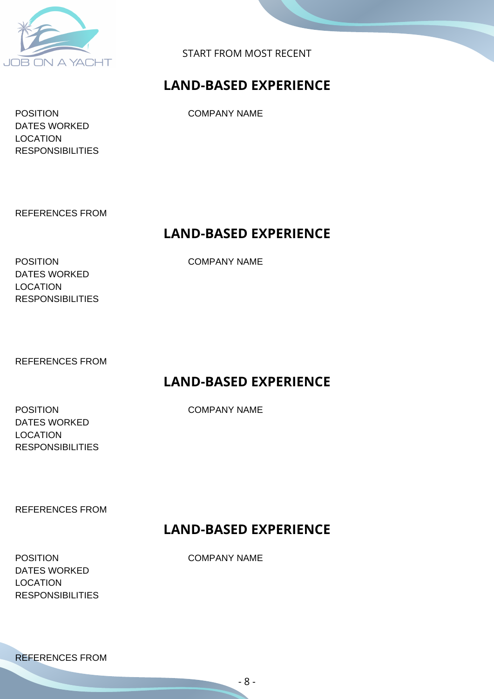

START FROM MOST RECENT

#### **LAND-BASED EXPERIENCE**

POSITION COMPANY NAME DATES WORKED LOCATION **RESPONSIBILITIES** 

REFERENCES FROM

#### **LAND-BASED EXPERIENCE**

POSITION COMPANY NAME DATES WORKED LOCATION RESPONSIBILITIES

REFERENCES FROM

#### **LAND-BASED EXPERIENCE**

POSITION COMPANY NAME DATES WORKED LOCATION RESPONSIBILITIES

REFERENCES FROM

#### **LAND-BASED EXPERIENCE**

POSITION COMPANY NAME DATES WORKED LOCATION RESPONSIBILITIES

REFERENCES FROM